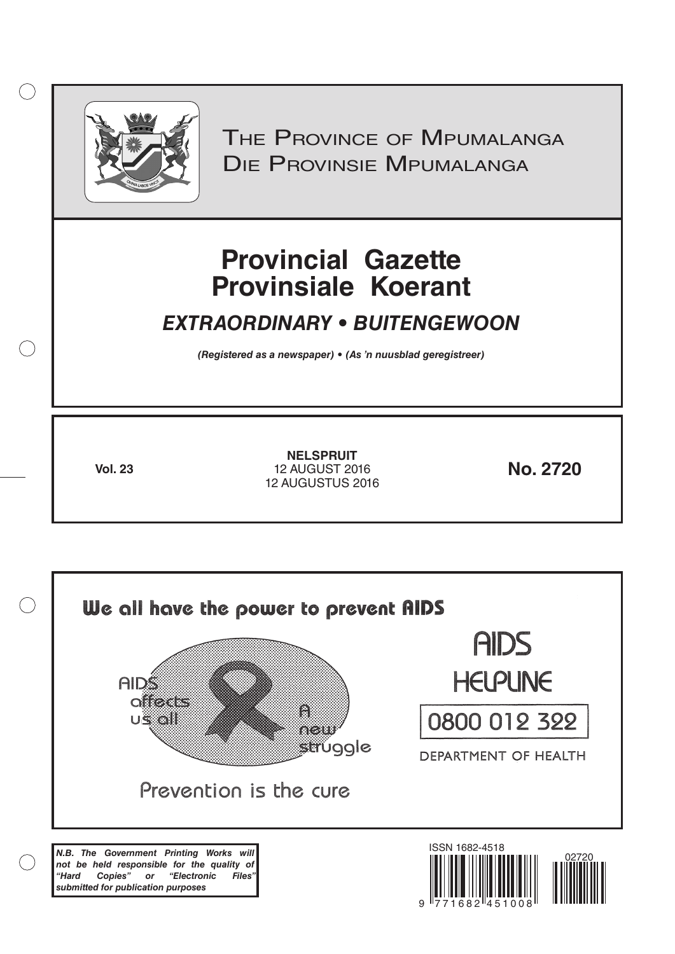

 $( )$ 

THE PROVINCE OF MPUMALANGA Die Provinsie Mpumalanga

# **Provincial Gazette Provinsiale Koerant**

# *EXTRAORDINARY • BUITENGEWOON*

*(Registered as a newspaper) • (As 'n nuusblad geregistreer)*

**Vol. 23 No. 2720** 12 AUGUST 2016 **NELSPRUIT** 12 AUGUSTUS 2016

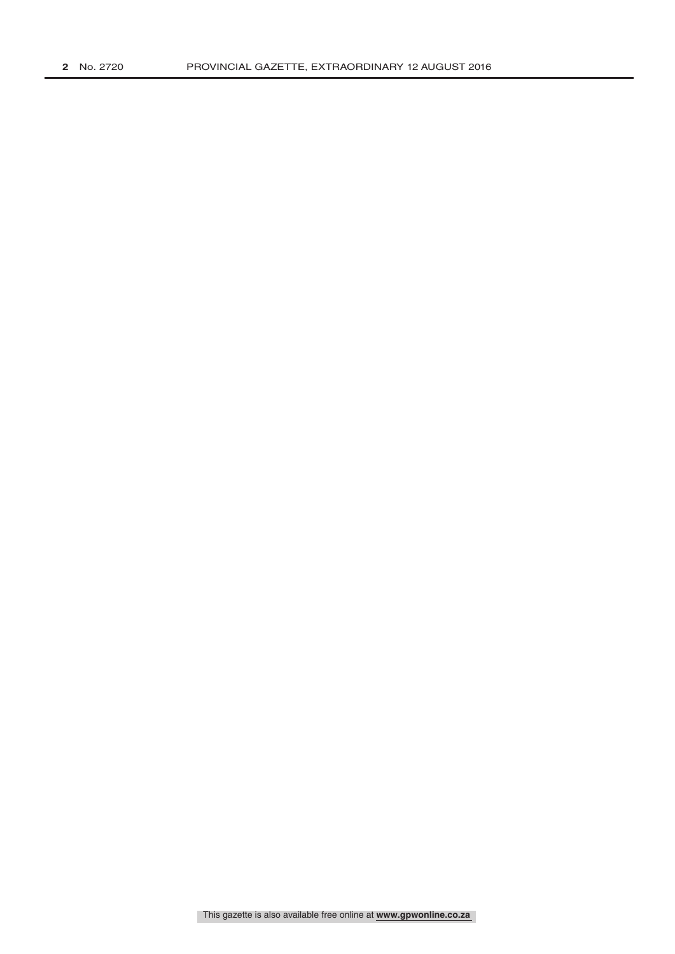This gazette is also available free online at **www.gpwonline.co.za**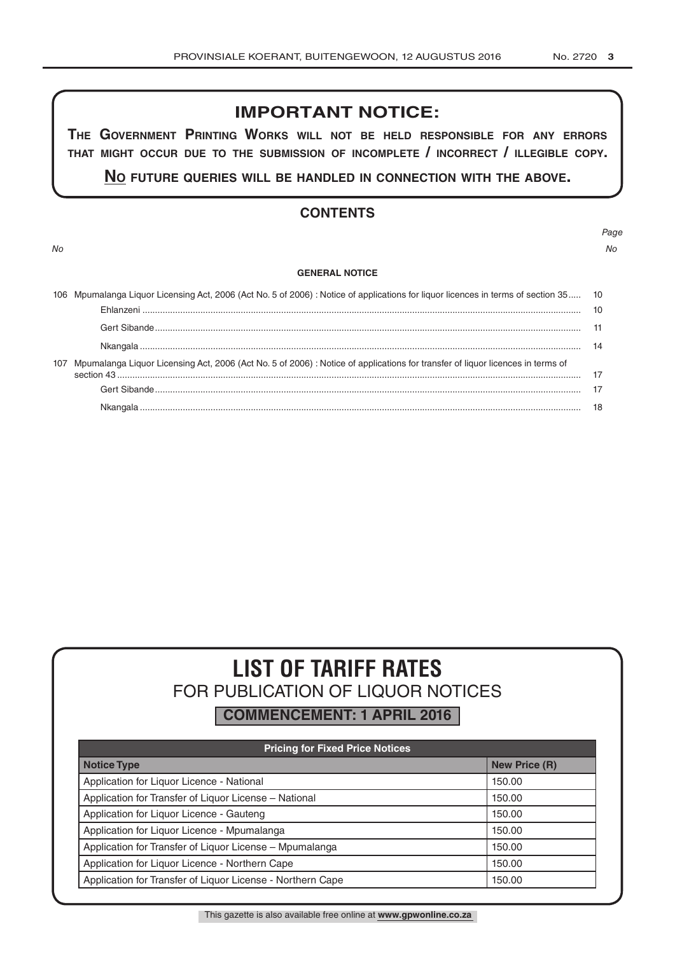# **IMPORTANT NOTICE:**

**The GovernmenT PrinTinG Works Will noT be held resPonsible for any errors ThaT miGhT occur due To The submission of incomPleTe / incorrecT / illeGible coPy.**

**no fuTure queries Will be handled in connecTion WiTh The above.**

# **CONTENTS**

#### **GENERAL NOTICE**

|     | 106 Mpumalanga Liquor Licensing Act, 2006 (Act No. 5 of 2006) : Notice of applications for liquor licences in terms of section 35 10 |    |
|-----|--------------------------------------------------------------------------------------------------------------------------------------|----|
| 107 |                                                                                                                                      | 10 |
|     |                                                                                                                                      |    |
|     |                                                                                                                                      | 14 |
|     | Mpumalanga Liquor Licensing Act, 2006 (Act No. 5 of 2006) : Notice of applications for transfer of liquor licences in terms of       |    |
|     |                                                                                                                                      |    |
|     |                                                                                                                                      | 18 |

# **LIST OF TARIFF RATES** FOR PUBLICATION OF LIQUOR NOTICES

**COMMENCEMENT: 1 APRIL 2016**

| <b>Pricing for Fixed Price Notices</b>                     |                      |  |  |  |  |
|------------------------------------------------------------|----------------------|--|--|--|--|
| <b>Notice Type</b>                                         | <b>New Price (R)</b> |  |  |  |  |
| Application for Liquor Licence - National                  | 150.00               |  |  |  |  |
| Application for Transfer of Liquor License - National      | 150.00               |  |  |  |  |
| Application for Liquor Licence - Gauteng                   | 150.00               |  |  |  |  |
| Application for Liquor Licence - Mpumalanga                | 150.00               |  |  |  |  |
| Application for Transfer of Liquor License - Mpumalanga    | 150.00               |  |  |  |  |
| Application for Liquor Licence - Northern Cape             | 150.00               |  |  |  |  |
| Application for Transfer of Liquor License - Northern Cape | 150.00               |  |  |  |  |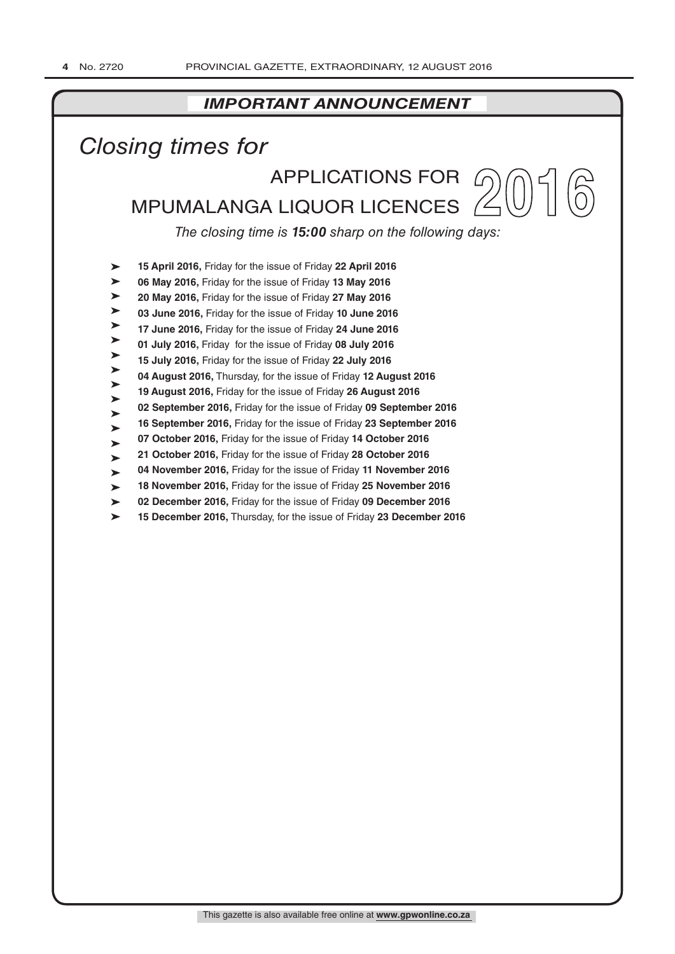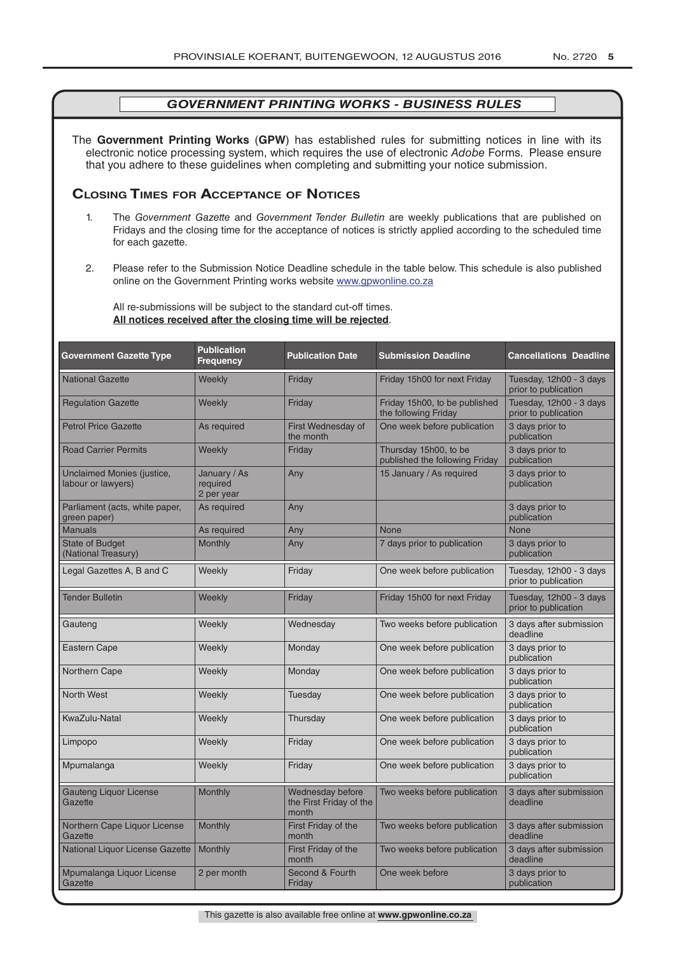The **Government Printing Works** (**GPW**) has established rules for submitting notices in line with its electronic notice processing system, which requires the use of electronic *Adobe* Forms. Please ensure that you adhere to these guidelines when completing and submitting your notice submission.

# **Closing Times for ACCepTAnCe of noTiCes**

- 1. The *Government Gazette* and *Government Tender Bulletin* are weekly publications that are published on Fridays and the closing time for the acceptance of notices is strictly applied according to the scheduled time for each gazette.
- 2. Please refer to the Submission Notice Deadline schedule in the table below. This schedule is also published online on the Government Printing works website www.gpwonline.co.za

All re-submissions will be subject to the standard cut-off times. **All notices received after the closing time will be rejected**.

| <b>Government Gazette Type</b>                   | <b>Publication</b><br><b>Frequency</b> | <b>Publication Date</b>                              | <b>Submission Deadline</b>                              | <b>Cancellations Deadline</b>                   |
|--------------------------------------------------|----------------------------------------|------------------------------------------------------|---------------------------------------------------------|-------------------------------------------------|
| <b>National Gazette</b>                          | Weekly                                 | Friday                                               | Friday 15h00 for next Friday                            | Tuesday, 12h00 - 3 days<br>prior to publication |
| <b>Regulation Gazette</b>                        | Weekly                                 | Friday                                               | Friday 15h00, to be published<br>the following Friday   | Tuesday, 12h00 - 3 days<br>prior to publication |
| <b>Petrol Price Gazette</b>                      | As required                            | First Wednesday of<br>the month                      | One week before publication                             | 3 days prior to<br>publication                  |
| <b>Road Carrier Permits</b>                      | Weekly                                 | Friday                                               | Thursday 15h00, to be<br>published the following Friday | 3 days prior to<br>publication                  |
| Unclaimed Monies (justice,<br>labour or lawyers) | January / As<br>required<br>2 per year | Any                                                  | 15 January / As required                                | 3 days prior to<br>publication                  |
| Parliament (acts, white paper,<br>green paper)   | As required                            | Any                                                  |                                                         | 3 days prior to<br>publication                  |
| <b>Manuals</b>                                   | As required                            | Any                                                  | <b>None</b>                                             | <b>None</b>                                     |
| <b>State of Budget</b><br>(National Treasury)    | Monthly                                | Any                                                  | 7 days prior to publication                             | 3 days prior to<br>publication                  |
| Legal Gazettes A, B and C                        | Weekly                                 | Friday                                               | One week before publication                             | Tuesday, 12h00 - 3 days<br>prior to publication |
| <b>Tender Bulletin</b>                           | Weekly                                 | Friday                                               | Friday 15h00 for next Friday                            | Tuesday, 12h00 - 3 days<br>prior to publication |
| Gauteng                                          | Weekly                                 | Wednesday                                            | Two weeks before publication                            | 3 days after submission<br>deadline             |
| <b>Eastern Cape</b>                              | Weekly                                 | Monday                                               | One week before publication                             | 3 days prior to<br>publication                  |
| Northern Cape                                    | Weekly                                 | Monday                                               | One week before publication                             | 3 days prior to<br>publication                  |
| <b>North West</b>                                | Weekly                                 | Tuesday                                              | One week before publication                             | 3 days prior to<br>publication                  |
| KwaZulu-Natal                                    | Weekly                                 | Thursdav                                             | One week before publication                             | 3 days prior to<br>publication                  |
| Limpopo                                          | Weekly                                 | Friday                                               | One week before publication                             | 3 days prior to<br>publication                  |
| Mpumalanga                                       | Weekly                                 | Friday                                               | One week before publication                             | 3 days prior to<br>publication                  |
| <b>Gauteng Liquor License</b><br>Gazette         | Monthly                                | Wednesday before<br>the First Friday of the<br>month | Two weeks before publication                            | 3 days after submission<br>deadline             |
| Northern Cape Liguor License<br>Gazette          | Monthly                                | First Friday of the<br>month                         | Two weeks before publication                            | 3 days after submission<br>deadline             |
| National Liquor License Gazette                  | <b>Monthly</b>                         | First Friday of the<br>month                         | Two weeks before publication                            | 3 days after submission<br>deadline             |
| Mpumalanga Liquor License<br>Gazette             | 2 per month                            | Second & Fourth<br>Friday                            | One week before                                         | 3 days prior to<br>publication                  |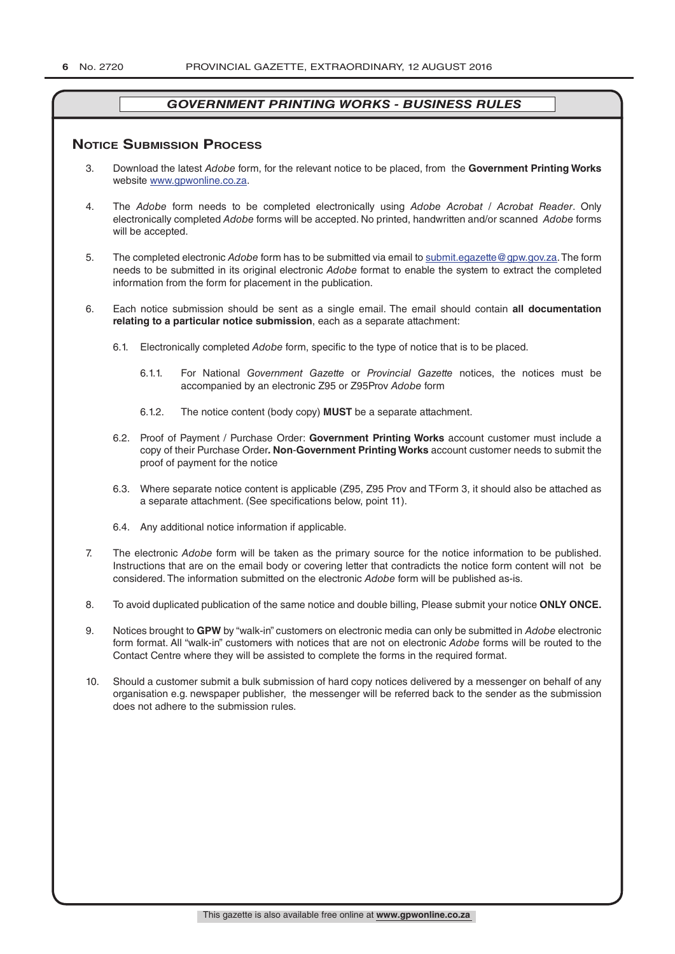## **NOTICE SUBMISSION PROCESS**

- 3. Download the latest *Adobe* form, for the relevant notice to be placed, from the **Government Printing Works** website www.gpwonline.co.za.
- 4. The *Adobe* form needs to be completed electronically using *Adobe Acrobat* / *Acrobat Reader*. Only electronically completed *Adobe* forms will be accepted. No printed, handwritten and/or scanned *Adobe* forms will be accepted.
- 5. The completed electronic *Adobe* form has to be submitted via email to submit.egazette@gpw.gov.za. The form needs to be submitted in its original electronic *Adobe* format to enable the system to extract the completed information from the form for placement in the publication.
- 6. Each notice submission should be sent as a single email. The email should contain **all documentation relating to a particular notice submission**, each as a separate attachment:
	- 6.1. Electronically completed *Adobe* form, specific to the type of notice that is to be placed.
		- 6.1.1. For National *Government Gazette* or *Provincial Gazette* notices, the notices must be accompanied by an electronic Z95 or Z95Prov *Adobe* form
		- 6.1.2. The notice content (body copy) **MUST** be a separate attachment.
	- 6.2. Proof of Payment / Purchase Order: **Government Printing Works** account customer must include a copy of their Purchase Order*.* **Non**-**Government Printing Works** account customer needs to submit the proof of payment for the notice
	- 6.3. Where separate notice content is applicable (Z95, Z95 Prov and TForm 3, it should also be attached as a separate attachment. (See specifications below, point 11).
	- 6.4. Any additional notice information if applicable.
- 7. The electronic *Adobe* form will be taken as the primary source for the notice information to be published. Instructions that are on the email body or covering letter that contradicts the notice form content will not be considered. The information submitted on the electronic *Adobe* form will be published as-is.
- 8. To avoid duplicated publication of the same notice and double billing, Please submit your notice **ONLY ONCE.**
- 9. Notices brought to **GPW** by "walk-in" customers on electronic media can only be submitted in *Adobe* electronic form format. All "walk-in" customers with notices that are not on electronic *Adobe* forms will be routed to the Contact Centre where they will be assisted to complete the forms in the required format.
- 10. Should a customer submit a bulk submission of hard copy notices delivered by a messenger on behalf of any organisation e.g. newspaper publisher, the messenger will be referred back to the sender as the submission does not adhere to the submission rules.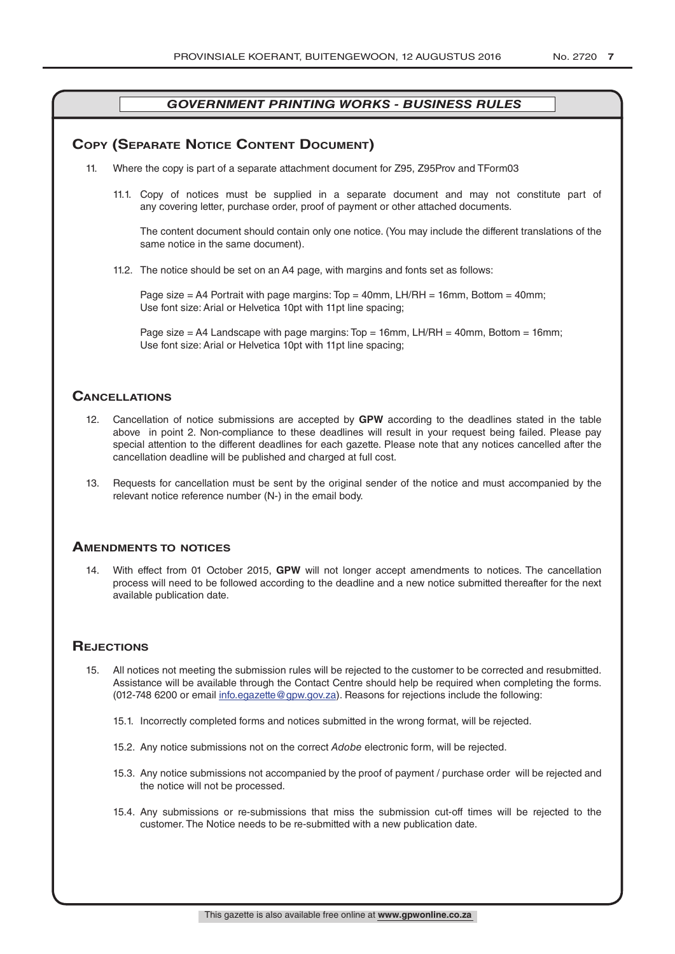# **COPY (SEPARATE NOTICE CONTENT DOCUMENT)**

- 11. Where the copy is part of a separate attachment document for Z95, Z95Prov and TForm03
	- 11.1. Copy of notices must be supplied in a separate document and may not constitute part of any covering letter, purchase order, proof of payment or other attached documents.

The content document should contain only one notice. (You may include the different translations of the same notice in the same document).

11.2. The notice should be set on an A4 page, with margins and fonts set as follows:

Page size  $=$  A4 Portrait with page margins: Top  $=$  40mm, LH/RH  $=$  16mm, Bottom  $=$  40mm; Use font size: Arial or Helvetica 10pt with 11pt line spacing;

Page size = A4 Landscape with page margins: Top = 16mm, LH/RH = 40mm, Bottom = 16mm; Use font size: Arial or Helvetica 10pt with 11pt line spacing;

### **CAnCellATions**

- 12. Cancellation of notice submissions are accepted by **GPW** according to the deadlines stated in the table above in point 2. Non-compliance to these deadlines will result in your request being failed. Please pay special attention to the different deadlines for each gazette. Please note that any notices cancelled after the cancellation deadline will be published and charged at full cost.
- 13. Requests for cancellation must be sent by the original sender of the notice and must accompanied by the relevant notice reference number (N-) in the email body.

#### **AmenDmenTs To noTiCes**

14. With effect from 01 October 2015, **GPW** will not longer accept amendments to notices. The cancellation process will need to be followed according to the deadline and a new notice submitted thereafter for the next available publication date.

# **REJECTIONS**

- 15. All notices not meeting the submission rules will be rejected to the customer to be corrected and resubmitted. Assistance will be available through the Contact Centre should help be required when completing the forms. (012-748 6200 or email info.egazette@gpw.gov.za). Reasons for rejections include the following:
	- 15.1. Incorrectly completed forms and notices submitted in the wrong format, will be rejected.
	- 15.2. Any notice submissions not on the correct *Adobe* electronic form, will be rejected.
	- 15.3. Any notice submissions not accompanied by the proof of payment / purchase order will be rejected and the notice will not be processed.
	- 15.4. Any submissions or re-submissions that miss the submission cut-off times will be rejected to the customer. The Notice needs to be re-submitted with a new publication date.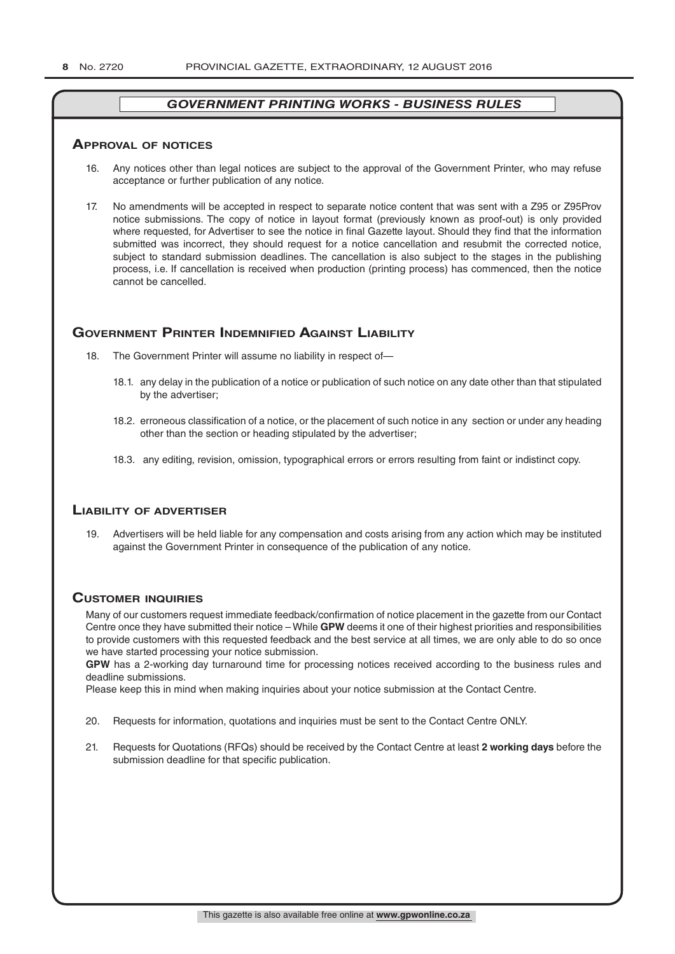#### **ApprovAl of noTiCes**

- 16. Any notices other than legal notices are subject to the approval of the Government Printer, who may refuse acceptance or further publication of any notice.
- 17. No amendments will be accepted in respect to separate notice content that was sent with a Z95 or Z95Prov notice submissions. The copy of notice in layout format (previously known as proof-out) is only provided where requested, for Advertiser to see the notice in final Gazette layout. Should they find that the information submitted was incorrect, they should request for a notice cancellation and resubmit the corrected notice, subject to standard submission deadlines. The cancellation is also subject to the stages in the publishing process, i.e. If cancellation is received when production (printing process) has commenced, then the notice cannot be cancelled.

# **GOVERNMENT PRINTER INDEMNIFIED AGAINST LIABILITY**

- 18. The Government Printer will assume no liability in respect of-
	- 18.1. any delay in the publication of a notice or publication of such notice on any date other than that stipulated by the advertiser;
	- 18.2. erroneous classification of a notice, or the placement of such notice in any section or under any heading other than the section or heading stipulated by the advertiser;
	- 18.3. any editing, revision, omission, typographical errors or errors resulting from faint or indistinct copy.

# **liAbiliTy of ADverTiser**

19. Advertisers will be held liable for any compensation and costs arising from any action which may be instituted against the Government Printer in consequence of the publication of any notice.

# **CusTomer inquiries**

Many of our customers request immediate feedback/confirmation of notice placement in the gazette from our Contact Centre once they have submitted their notice – While **GPW** deems it one of their highest priorities and responsibilities to provide customers with this requested feedback and the best service at all times, we are only able to do so once we have started processing your notice submission.

**GPW** has a 2-working day turnaround time for processing notices received according to the business rules and deadline submissions.

Please keep this in mind when making inquiries about your notice submission at the Contact Centre.

- 20. Requests for information, quotations and inquiries must be sent to the Contact Centre ONLY.
- 21. Requests for Quotations (RFQs) should be received by the Contact Centre at least **2 working days** before the submission deadline for that specific publication.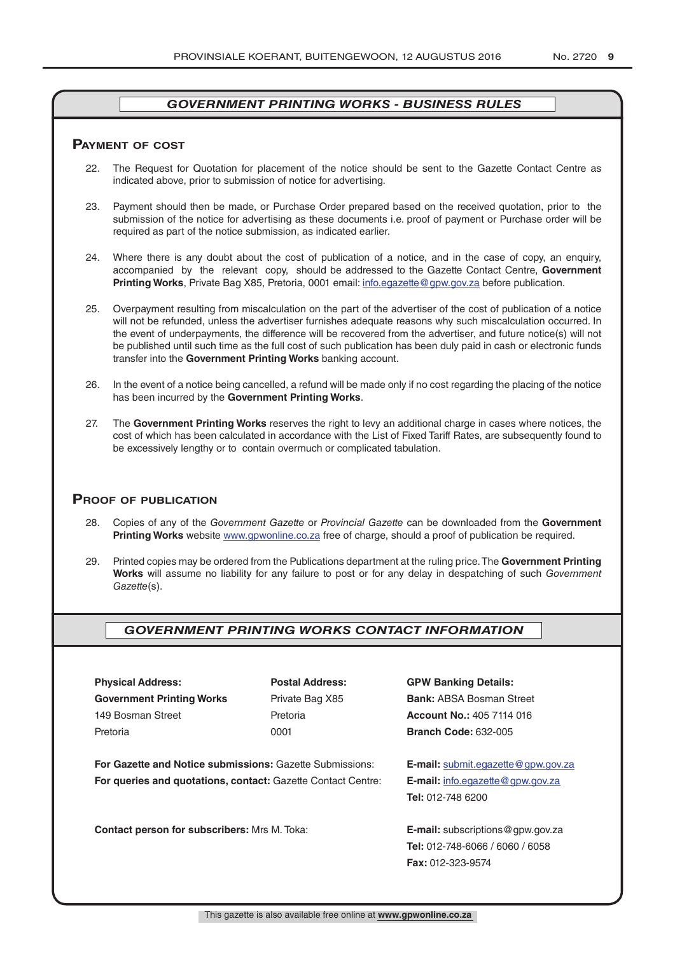### **pAymenT of CosT**

- 22. The Request for Quotation for placement of the notice should be sent to the Gazette Contact Centre as indicated above, prior to submission of notice for advertising.
- 23. Payment should then be made, or Purchase Order prepared based on the received quotation, prior to the submission of the notice for advertising as these documents i.e. proof of payment or Purchase order will be required as part of the notice submission, as indicated earlier.
- 24. Where there is any doubt about the cost of publication of a notice, and in the case of copy, an enquiry, accompanied by the relevant copy, should be addressed to the Gazette Contact Centre, **Government Printing Works**, Private Bag X85, Pretoria, 0001 email: info.egazette@gpw.gov.za before publication.
- 25. Overpayment resulting from miscalculation on the part of the advertiser of the cost of publication of a notice will not be refunded, unless the advertiser furnishes adequate reasons why such miscalculation occurred. In the event of underpayments, the difference will be recovered from the advertiser, and future notice(s) will not be published until such time as the full cost of such publication has been duly paid in cash or electronic funds transfer into the **Government Printing Works** banking account.
- 26. In the event of a notice being cancelled, a refund will be made only if no cost regarding the placing of the notice has been incurred by the **Government Printing Works**.
- 27. The **Government Printing Works** reserves the right to levy an additional charge in cases where notices, the cost of which has been calculated in accordance with the List of Fixed Tariff Rates, are subsequently found to be excessively lengthy or to contain overmuch or complicated tabulation.

# **proof of publiCATion**

- 28. Copies of any of the *Government Gazette* or *Provincial Gazette* can be downloaded from the **Government Printing Works** website www.gpwonline.co.za free of charge, should a proof of publication be required.
- 29. Printed copies may be ordered from the Publications department at the ruling price. The **Government Printing Works** will assume no liability for any failure to post or for any delay in despatching of such *Government Gazette*(s).

# *GOVERNMENT PRINTING WORKS CONTACT INFORMATION*

**Physical Address: Postal Address: GPW Banking Details: Government Printing Works** Private Bag X85 **Bank:** ABSA Bosman Street 149 Bosman Street Pretoria **Account No.:** 405 7114 016 Pretoria 0001 **Branch Code:** 632-005

**For Gazette and Notice submissions:** Gazette Submissions: **E-mail:** submit.egazette@gpw.gov.za **For queries and quotations, contact:** Gazette Contact Centre: **E-mail:** info.egazette@gpw.gov.za

**Contact person for subscribers:** Mrs M. Toka: **E-mail:** subscriptions@gpw.gov.za

**Tel:** 012-748 6200

**Tel:** 012-748-6066 / 6060 / 6058 **Fax:** 012-323-9574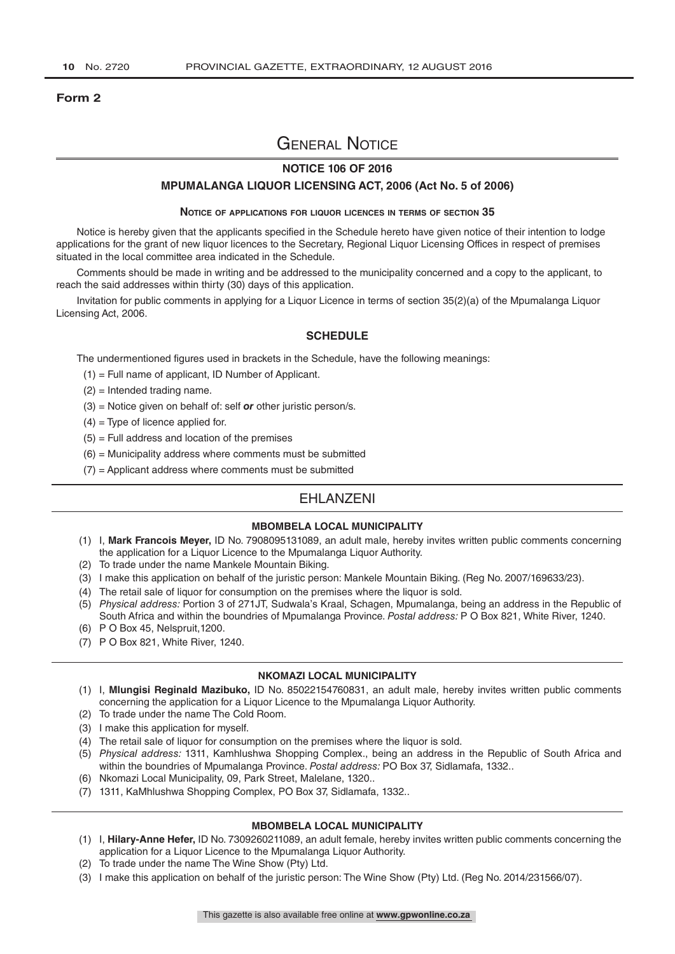#### **Form 2**

# General Notice

### **NOTICE 106 OF 2016**

#### **MPUMALANGA LIQUOR LICENSING ACT, 2006 (Act No. 5 of 2006)**

#### **Notice of applications for liquor licences in terms of section 35**

Notice is hereby given that the applicants specified in the Schedule hereto have given notice of their intention to lodge applications for the grant of new liquor licences to the Secretary, Regional Liquor Licensing Offices in respect of premises situated in the local committee area indicated in the Schedule.

Comments should be made in writing and be addressed to the municipality concerned and a copy to the applicant, to reach the said addresses within thirty (30) days of this application.

Invitation for public comments in applying for a Liquor Licence in terms of section 35(2)(a) of the Mpumalanga Liquor Licensing Act, 2006.

#### **SCHEDULE**

The undermentioned figures used in brackets in the Schedule, have the following meanings:

- (1) = Full name of applicant, ID Number of Applicant.
- (2) = Intended trading name.
- (3) = Notice given on behalf of: self *or* other juristic person/s.
- $(4)$  = Type of licence applied for.
- $(5)$  = Full address and location of the premises
- $(6)$  = Municipality address where comments must be submitted
- $(7)$  = Applicant address where comments must be submitted

# EHLANZENI

#### **MBOMBELA LOCAL MUNICIPALITY**

- (1) I, **Mark Francois Meyer,** ID No. 7908095131089, an adult male, hereby invites written public comments concerning the application for a Liquor Licence to the Mpumalanga Liquor Authority.
- (2) To trade under the name Mankele Mountain Biking.
- (3) I make this application on behalf of the juristic person: Mankele Mountain Biking. (Reg No. 2007/169633/23).
- (4) The retail sale of liquor for consumption on the premises where the liquor is sold.
- (5) *Physical address:* Portion 3 of 271JT, Sudwala's Kraal, Schagen, Mpumalanga, being an address in the Republic of South Africa and within the boundries of Mpumalanga Province. *Postal address:* P O Box 821, White River, 1240.
- (6) P O Box 45, Nelspruit,1200.
- (7) P O Box 821, White River, 1240.

#### **NKOMAZI LOCAL MUNICIPALITY**

- (1) I, **Mlungisi Reginald Mazibuko,** ID No. 85022154760831, an adult male, hereby invites written public comments concerning the application for a Liquor Licence to the Mpumalanga Liquor Authority.
- (2) To trade under the name The Cold Room.
- (3) I make this application for myself.
- (4) The retail sale of liquor for consumption on the premises where the liquor is sold.
- (5) *Physical address:* 1311, Kamhlushwa Shopping Complex., being an address in the Republic of South Africa and within the boundries of Mpumalanga Province. *Postal address:* PO Box 37, Sidlamafa, 1332..
- (6) Nkomazi Local Municipality, 09, Park Street, Malelane, 1320..
- (7) 1311, KaMhlushwa Shopping Complex, PO Box 37, Sidlamafa, 1332..

#### **MBOMBELA LOCAL MUNICIPALITY**

- (1) I, **Hilary-Anne Hefer,** ID No. 7309260211089, an adult female, hereby invites written public comments concerning the application for a Liquor Licence to the Mpumalanga Liquor Authority.
- (2) To trade under the name The Wine Show (Pty) Ltd.
- (3) I make this application on behalf of the juristic person: The Wine Show (Pty) Ltd. (Reg No. 2014/231566/07).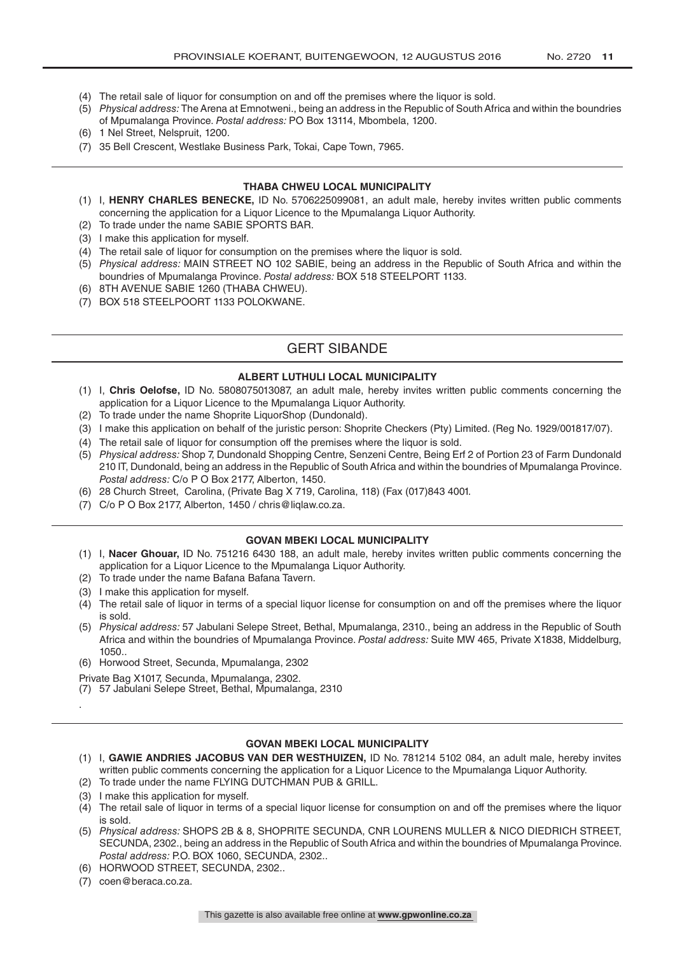- (4) The retail sale of liquor for consumption on and off the premises where the liquor is sold.
- (5) *Physical address:* The Arena at Emnotweni., being an address in the Republic of South Africa and within the boundries of Mpumalanga Province. *Postal address:* PO Box 13114, Mbombela, 1200.
- (6) 1 Nel Street, Nelspruit, 1200.
- (7) 35 Bell Crescent, Westlake Business Park, Tokai, Cape Town, 7965.

#### **THABA CHWEU LOCAL MUNICIPALITY**

- (1) I, **HENRY CHARLES BENECKE,** ID No. 5706225099081, an adult male, hereby invites written public comments concerning the application for a Liquor Licence to the Mpumalanga Liquor Authority.
- (2) To trade under the name SABIE SPORTS BAR.
- (3) I make this application for myself.
- (4) The retail sale of liquor for consumption on the premises where the liquor is sold.
- (5) *Physical address:* MAIN STREET NO 102 SABIE, being an address in the Republic of South Africa and within the boundries of Mpumalanga Province. *Postal address:* BOX 518 STEELPORT 1133.
- (6) 8TH AVENUE SABIE 1260 (THABA CHWEU).
- (7) BOX 518 STEELPOORT 1133 POLOKWANE.

# GERT SIBANDE

#### **ALBERT LUTHULI LOCAL MUNICIPALITY**

- (1) I, **Chris Oelofse,** ID No. 5808075013087, an adult male, hereby invites written public comments concerning the application for a Liquor Licence to the Mpumalanga Liquor Authority.
- (2) To trade under the name Shoprite LiquorShop (Dundonald).
- (3) I make this application on behalf of the juristic person: Shoprite Checkers (Pty) Limited. (Reg No. 1929/001817/07).
- (4) The retail sale of liquor for consumption off the premises where the liquor is sold.
- (5) *Physical address:* Shop 7, Dundonald Shopping Centre, Senzeni Centre, Being Erf 2 of Portion 23 of Farm Dundonald 210 IT, Dundonald, being an address in the Republic of South Africa and within the boundries of Mpumalanga Province. *Postal address:* C/o P O Box 2177, Alberton, 1450.
- (6) 28 Church Street, Carolina, (Private Bag X 719, Carolina, 118) (Fax (017)843 4001.
- (7) C/o P O Box 2177, Alberton, 1450 / chris@liqlaw.co.za.

#### **GOVAN MBEKI LOCAL MUNICIPALITY**

- (1) I, **Nacer Ghouar,** ID No. 751216 6430 188, an adult male, hereby invites written public comments concerning the application for a Liquor Licence to the Mpumalanga Liquor Authority.
- (2) To trade under the name Bafana Bafana Tavern.
- (3) I make this application for myself.
- (4) The retail sale of liquor in terms of a special liquor license for consumption on and off the premises where the liquor is sold.
- (5) *Physical address:* 57 Jabulani Selepe Street, Bethal, Mpumalanga, 2310., being an address in the Republic of South Africa and within the boundries of Mpumalanga Province. *Postal address:* Suite MW 465, Private X1838, Middelburg, 1050..
- (6) Horwood Street, Secunda, Mpumalanga, 2302
- Private Bag X1017, Secunda, Mpumalanga, 2302.
- (7) 57 Jabulani Selepe Street, Bethal, Mpumalanga, 2310

#### **GOVAN MBEKI LOCAL MUNICIPALITY**

- (1) I, **GAWIE ANDRIES JACOBUS VAN DER WESTHUIZEN,** ID No. 781214 5102 084, an adult male, hereby invites written public comments concerning the application for a Liquor Licence to the Mpumalanga Liquor Authority.
- (2) To trade under the name FLYING DUTCHMAN PUB & GRILL.
- (3) I make this application for myself.
- (4) The retail sale of liquor in terms of a special liquor license for consumption on and off the premises where the liquor is sold.
- (5) *Physical address:* SHOPS 2B & 8, SHOPRITE SECUNDA, CNR LOURENS MULLER & NICO DIEDRICH STREET, SECUNDA, 2302., being an address in the Republic of South Africa and within the boundries of Mpumalanga Province. *Postal address:* P.O. BOX 1060, SECUNDA, 2302..
- (6) HORWOOD STREET, SECUNDA, 2302..
- (7) coen@beraca.co.za.

.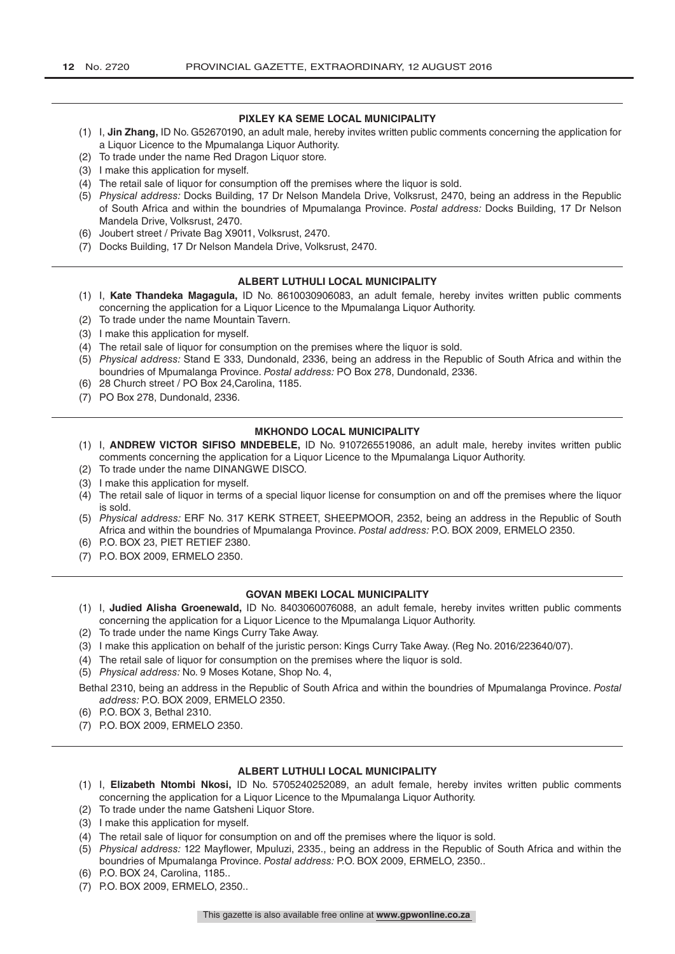#### **PIXLEY KA SEME LOCAL MUNICIPALITY**

- (1) I, **Jin Zhang,** ID No. G52670190, an adult male, hereby invites written public comments concerning the application for a Liquor Licence to the Mpumalanga Liquor Authority.
- (2) To trade under the name Red Dragon Liquor store.
- (3) I make this application for myself.
- (4) The retail sale of liquor for consumption off the premises where the liquor is sold.
- (5) *Physical address:* Docks Building, 17 Dr Nelson Mandela Drive, Volksrust, 2470, being an address in the Republic of South Africa and within the boundries of Mpumalanga Province. *Postal address:* Docks Building, 17 Dr Nelson Mandela Drive, Volksrust, 2470.
- (6) Joubert street / Private Bag X9011, Volksrust, 2470.
- (7) Docks Building, 17 Dr Nelson Mandela Drive, Volksrust, 2470.

#### **ALBERT LUTHULI LOCAL MUNICIPALITY**

- (1) I, **Kate Thandeka Magagula,** ID No. 8610030906083, an adult female, hereby invites written public comments concerning the application for a Liquor Licence to the Mpumalanga Liquor Authority.
- (2) To trade under the name Mountain Tavern.
- (3) I make this application for myself.
- (4) The retail sale of liquor for consumption on the premises where the liquor is sold.
- (5) *Physical address:* Stand E 333, Dundonald, 2336, being an address in the Republic of South Africa and within the boundries of Mpumalanga Province. *Postal address:* PO Box 278, Dundonald, 2336.
- (6) 28 Church street / PO Box 24,Carolina, 1185.
- (7) PO Box 278, Dundonald, 2336.

#### **MKHONDO LOCAL MUNICIPALITY**

- (1) I, **ANDREW VICTOR SIFISO MNDEBELE,** ID No. 9107265519086, an adult male, hereby invites written public comments concerning the application for a Liquor Licence to the Mpumalanga Liquor Authority.
- (2) To trade under the name DINANGWE DISCO.
- (3) I make this application for myself.
- (4) The retail sale of liquor in terms of a special liquor license for consumption on and off the premises where the liquor is sold.
- (5) *Physical address:* ERF No. 317 KERK STREET, SHEEPMOOR, 2352, being an address in the Republic of South Africa and within the boundries of Mpumalanga Province. *Postal address:* P.O. BOX 2009, ERMELO 2350.
- (6) P.O. BOX 23, PIET RETIEF 2380.
- (7) P.O. BOX 2009, ERMELO 2350.

#### **GOVAN MBEKI LOCAL MUNICIPALITY**

- (1) I, **Judied Alisha Groenewald,** ID No. 8403060076088, an adult female, hereby invites written public comments concerning the application for a Liquor Licence to the Mpumalanga Liquor Authority.
- (2) To trade under the name Kings Curry Take Away.
- (3) I make this application on behalf of the juristic person: Kings Curry Take Away. (Reg No. 2016/223640/07).
- (4) The retail sale of liquor for consumption on the premises where the liquor is sold.
- (5) *Physical address:* No. 9 Moses Kotane, Shop No. 4,

Bethal 2310, being an address in the Republic of South Africa and within the boundries of Mpumalanga Province. *Postal address:* P.O. BOX 2009, ERMELO 2350.

- (6) P.O. BOX 3, Bethal 2310.
- (7) P.O. BOX 2009, ERMELO 2350.

#### **ALBERT LUTHULI LOCAL MUNICIPALITY**

- (1) I, **Elizabeth Ntombi Nkosi,** ID No. 5705240252089, an adult female, hereby invites written public comments concerning the application for a Liquor Licence to the Mpumalanga Liquor Authority.
- (2) To trade under the name Gatsheni Liquor Store.
- (3) I make this application for myself.
- (4) The retail sale of liquor for consumption on and off the premises where the liquor is sold.
- (5) *Physical address:* 122 Mayflower, Mpuluzi, 2335., being an address in the Republic of South Africa and within the boundries of Mpumalanga Province. *Postal address:* P.O. BOX 2009, ERMELO, 2350..
- (6) P.O. BOX 24, Carolina, 1185..
- (7) P.O. BOX 2009, ERMELO, 2350..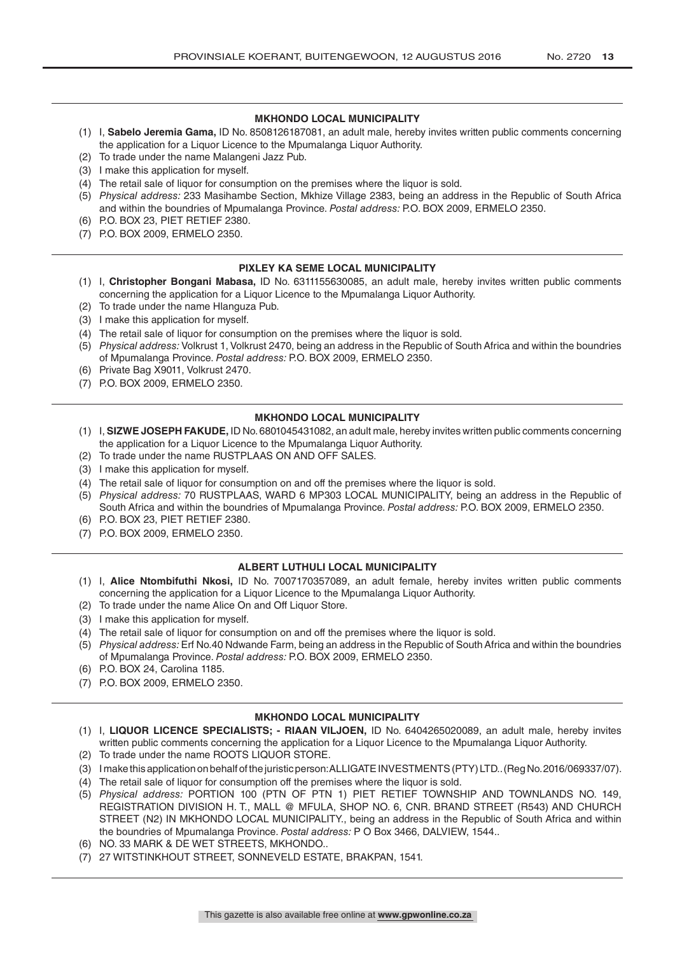#### **MKHONDO LOCAL MUNICIPALITY**

- (1) I, **Sabelo Jeremia Gama,** ID No. 8508126187081, an adult male, hereby invites written public comments concerning the application for a Liquor Licence to the Mpumalanga Liquor Authority.
- (2) To trade under the name Malangeni Jazz Pub.
- (3) I make this application for myself.
- (4) The retail sale of liquor for consumption on the premises where the liquor is sold.
- (5) *Physical address:* 233 Masihambe Section, Mkhize Village 2383, being an address in the Republic of South Africa and within the boundries of Mpumalanga Province. *Postal address:* P.O. BOX 2009, ERMELO 2350.
- (6) P.O. BOX 23, PIET RETIEF 2380.
- (7) P.O. BOX 2009, ERMELO 2350.

#### **PIXLEY KA SEME LOCAL MUNICIPALITY**

- (1) I, **Christopher Bongani Mabasa,** ID No. 6311155630085, an adult male, hereby invites written public comments concerning the application for a Liquor Licence to the Mpumalanga Liquor Authority.
- (2) To trade under the name Hlanguza Pub.
- (3) I make this application for myself.
- (4) The retail sale of liquor for consumption on the premises where the liquor is sold.
- (5) *Physical address:* Volkrust 1, Volkrust 2470, being an address in the Republic of South Africa and within the boundries of Mpumalanga Province. *Postal address:* P.O. BOX 2009, ERMELO 2350.
- (6) Private Bag X9011, Volkrust 2470.
- (7) P.O. BOX 2009, ERMELO 2350.

#### **MKHONDO LOCAL MUNICIPALITY**

- (1) I, **SIZWE JOSEPH FAKUDE,** ID No. 6801045431082, an adult male, hereby invites written public comments concerning the application for a Liquor Licence to the Mpumalanga Liquor Authority.
- (2) To trade under the name RUSTPLAAS ON AND OFF SALES.
- (3) I make this application for myself.
- (4) The retail sale of liquor for consumption on and off the premises where the liquor is sold.
- (5) *Physical address:* 70 RUSTPLAAS, WARD 6 MP303 LOCAL MUNICIPALITY, being an address in the Republic of South Africa and within the boundries of Mpumalanga Province. *Postal address:* P.O. BOX 2009, ERMELO 2350.
- (6) P.O. BOX 23, PIET RETIEF 2380.
- (7) P.O. BOX 2009, ERMELO 2350.

#### **ALBERT LUTHULI LOCAL MUNICIPALITY**

- (1) I, **Alice Ntombifuthi Nkosi,** ID No. 7007170357089, an adult female, hereby invites written public comments concerning the application for a Liquor Licence to the Mpumalanga Liquor Authority.
- (2) To trade under the name Alice On and Off Liquor Store.
- (3) I make this application for myself.
- (4) The retail sale of liquor for consumption on and off the premises where the liquor is sold.
- (5) *Physical address:* Erf No.40 Ndwande Farm, being an address in the Republic of South Africa and within the boundries of Mpumalanga Province. *Postal address:* P.O. BOX 2009, ERMELO 2350.
- (6) P.O. BOX 24, Carolina 1185.
- (7) P.O. BOX 2009, ERMELO 2350.

#### **MKHONDO LOCAL MUNICIPALITY**

- (1) I, **LIQUOR LICENCE SPECIALISTS; RIAAN VILJOEN,** ID No. 6404265020089, an adult male, hereby invites written public comments concerning the application for a Liquor Licence to the Mpumalanga Liquor Authority.
- (2) To trade under the name ROOTS LIQUOR STORE.
- (3) I make this application on behalf of the juristic person: ALLIGATE INVESTMENTS (PTY) LTD.. (Reg No. 2016/069337/07).
- (4) The retail sale of liquor for consumption off the premises where the liquor is sold.
- (5) *Physical address:* PORTION 100 (PTN OF PTN 1) PIET RETIEF TOWNSHIP AND TOWNLANDS NO. 149, REGISTRATION DIVISION H. T., MALL @ MFULA, SHOP NO. 6, CNR. BRAND STREET (R543) AND CHURCH STREET (N2) IN MKHONDO LOCAL MUNICIPALITY., being an address in the Republic of South Africa and within the boundries of Mpumalanga Province. *Postal address:* P O Box 3466, DALVIEW, 1544..
- (6) NO. 33 MARK & DE WET STREETS, MKHONDO..
- (7) 27 WITSTINKHOUT STREET, SONNEVELD ESTATE, BRAKPAN, 1541.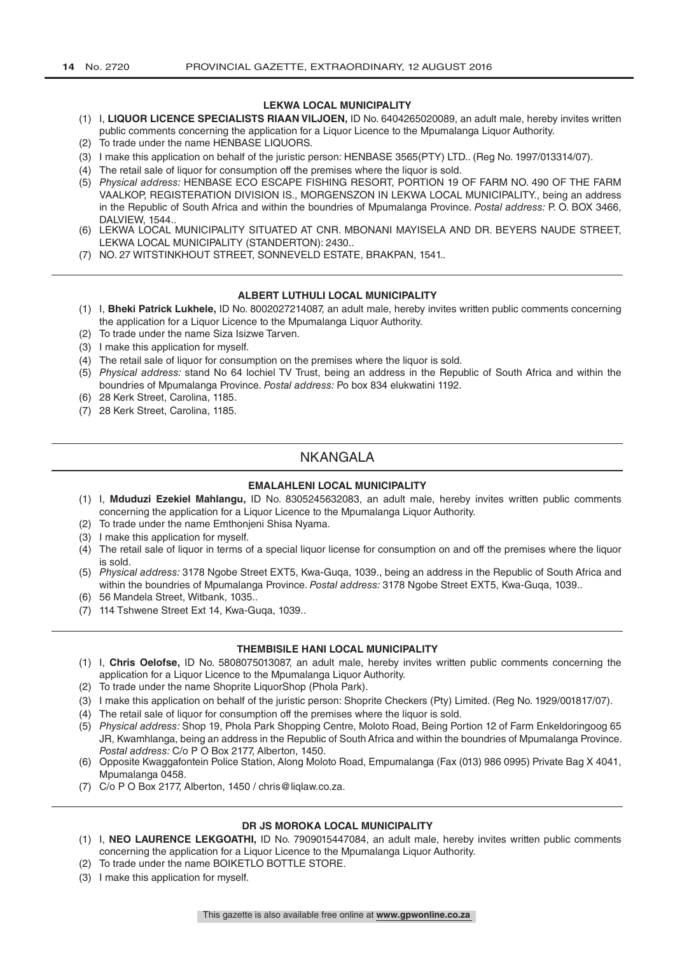#### **LEKWA LOCAL MUNICIPALITY**

- (1) I, **LIQUOR LICENCE SPECIALISTS RIAAN VILJOEN,** ID No. 6404265020089, an adult male, hereby invites written public comments concerning the application for a Liquor Licence to the Mpumalanga Liquor Authority.
- (2) To trade under the name HENBASE LIQUORS.
- (3) I make this application on behalf of the juristic person: HENBASE 3565(PTY) LTD.. (Reg No. 1997/013314/07).
- (4) The retail sale of liquor for consumption off the premises where the liquor is sold.
- (5) *Physical address:* HENBASE ECO ESCAPE FISHING RESORT, PORTION 19 OF FARM NO. 490 OF THE FARM VAALKOP, REGISTERATION DIVISION IS., MORGENSZON IN LEKWA LOCAL MUNICIPALITY., being an address in the Republic of South Africa and within the boundries of Mpumalanga Province. *Postal address:* P. O. BOX 3466, DALVIEW, 1544..
- (6) LEKWA LOCAL MUNICIPALITY SITUATED AT CNR. MBONANI MAYISELA AND DR. BEYERS NAUDE STREET, LEKWA LOCAL MUNICIPALITY (STANDERTON): 2430..
- (7) NO. 27 WITSTINKHOUT STREET, SONNEVELD ESTATE, BRAKPAN, 1541..

#### **ALBERT LUTHULI LOCAL MUNICIPALITY**

- (1) I, **Bheki Patrick Lukhele,** ID No. 8002027214087, an adult male, hereby invites written public comments concerning the application for a Liquor Licence to the Mpumalanga Liquor Authority.
- (2) To trade under the name Siza Isizwe Tarven.
- (3) I make this application for myself.
- (4) The retail sale of liquor for consumption on the premises where the liquor is sold.
- (5) *Physical address:* stand No 64 lochiel TV Trust, being an address in the Republic of South Africa and within the boundries of Mpumalanga Province. *Postal address:* Po box 834 elukwatini 1192.
- (6) 28 Kerk Street, Carolina, 1185.
- (7) 28 Kerk Street, Carolina, 1185.

# **NKANGALA**

#### **EMALAHLENI LOCAL MUNICIPALITY**

- (1) I, **Mduduzi Ezekiel Mahlangu,** ID No. 8305245632083, an adult male, hereby invites written public comments concerning the application for a Liquor Licence to the Mpumalanga Liquor Authority.
- (2) To trade under the name Emthonjeni Shisa Nyama.
- (3) I make this application for myself.
- (4) The retail sale of liquor in terms of a special liquor license for consumption on and off the premises where the liquor is sold.
- (5) *Physical address:* 3178 Ngobe Street EXT5, Kwa-Guqa, 1039., being an address in the Republic of South Africa and within the boundries of Mpumalanga Province. *Postal address:* 3178 Ngobe Street EXT5, Kwa-Guqa, 1039..
- (6) 56 Mandela Street, Witbank, 1035..
- (7) 114 Tshwene Street Ext 14, Kwa-Guqa, 1039..

#### **THEMBISILE HANI LOCAL MUNICIPALITY**

- (1) I, **Chris Oelofse,** ID No. 5808075013087, an adult male, hereby invites written public comments concerning the application for a Liquor Licence to the Mpumalanga Liquor Authority.
- (2) To trade under the name Shoprite LiquorShop (Phola Park).
- (3) I make this application on behalf of the juristic person: Shoprite Checkers (Pty) Limited. (Reg No. 1929/001817/07).
- (4) The retail sale of liquor for consumption off the premises where the liquor is sold.
- (5) *Physical address:* Shop 19, Phola Park Shopping Centre, Moloto Road, Being Portion 12 of Farm Enkeldoringoog 65 JR, Kwamhlanga, being an address in the Republic of South Africa and within the boundries of Mpumalanga Province. *Postal address:* C/o P O Box 2177, Alberton, 1450.
- (6) Opposite Kwaggafontein Police Station, Along Moloto Road, Empumalanga (Fax (013) 986 0995) Private Bag X 4041, Mpumalanga 0458.
- (7) C/o P O Box 2177, Alberton, 1450 / chris@liqlaw.co.za.

#### **DR JS MOROKA LOCAL MUNICIPALITY**

- (1) I, **NEO LAURENCE LEKGOATHI,** ID No. 7909015447084, an adult male, hereby invites written public comments concerning the application for a Liquor Licence to the Mpumalanga Liquor Authority.
- (2) To trade under the name BOIKETLO BOTTLE STORE.
- (3) I make this application for myself.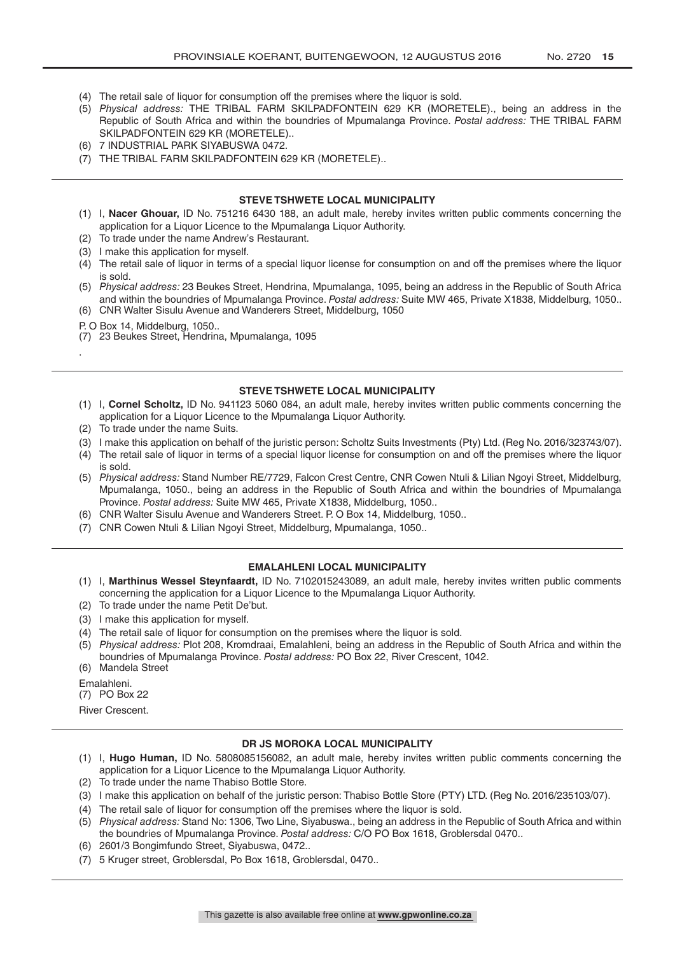- (4) The retail sale of liquor for consumption off the premises where the liquor is sold.
- (5) *Physical address:* THE TRIBAL FARM SKILPADFONTEIN 629 KR (MORETELE)., being an address in the Republic of South Africa and within the boundries of Mpumalanga Province. *Postal address:* THE TRIBAL FARM SKILPADFONTEIN 629 KR (MORETELE)..
- (6) 7 INDUSTRIAL PARK SIYABUSWA 0472.
- (7) THE TRIBAL FARM SKILPADFONTEIN 629 KR (MORETELE)..

#### **STEVE TSHWETE LOCAL MUNICIPALITY**

- (1) I, **Nacer Ghouar,** ID No. 751216 6430 188, an adult male, hereby invites written public comments concerning the application for a Liquor Licence to the Mpumalanga Liquor Authority.
- (2) To trade under the name Andrew's Restaurant.
- (3) I make this application for myself.
- (4) The retail sale of liquor in terms of a special liquor license for consumption on and off the premises where the liquor is sold.
- (5) *Physical address:* 23 Beukes Street, Hendrina, Mpumalanga, 1095, being an address in the Republic of South Africa and within the boundries of Mpumalanga Province. *Postal address:* Suite MW 465, Private X1838, Middelburg, 1050..
- (6) CNR Walter Sisulu Avenue and Wanderers Street, Middelburg, 1050
- P. O Box 14, Middelburg, 1050..

.

(7) 23 Beukes Street, Hendrina, Mpumalanga, 1095

#### **STEVE TSHWETE LOCAL MUNICIPALITY**

- (1) I, **Cornel Scholtz,** ID No. 941123 5060 084, an adult male, hereby invites written public comments concerning the application for a Liquor Licence to the Mpumalanga Liquor Authority.
- (2) To trade under the name Suits.
- (3) I make this application on behalf of the juristic person: Scholtz Suits Investments (Pty) Ltd. (Reg No. 2016/323743/07).
- (4) The retail sale of liquor in terms of a special liquor license for consumption on and off the premises where the liquor is sold.
- (5) *Physical address:* Stand Number RE/7729, Falcon Crest Centre, CNR Cowen Ntuli & Lilian Ngoyi Street, Middelburg, Mpumalanga, 1050., being an address in the Republic of South Africa and within the boundries of Mpumalanga Province. *Postal address:* Suite MW 465, Private X1838, Middelburg, 1050..
- (6) CNR Walter Sisulu Avenue and Wanderers Street. P. O Box 14, Middelburg, 1050..
- (7) CNR Cowen Ntuli & Lilian Ngoyi Street, Middelburg, Mpumalanga, 1050..

#### **EMALAHLENI LOCAL MUNICIPALITY**

- (1) I, **Marthinus Wessel Steynfaardt,** ID No. 7102015243089, an adult male, hereby invites written public comments concerning the application for a Liquor Licence to the Mpumalanga Liquor Authority.
- (2) To trade under the name Petit De'but.
- (3) I make this application for myself.
- (4) The retail sale of liquor for consumption on the premises where the liquor is sold.
- (5) *Physical address:* Plot 208, Kromdraai, Emalahleni, being an address in the Republic of South Africa and within the boundries of Mpumalanga Province. *Postal address:* PO Box 22, River Crescent, 1042.
- (6) Mandela Street

Emalahleni.

(7) PO Box 22

River Crescent.

#### **DR JS MOROKA LOCAL MUNICIPALITY**

- (1) I, **Hugo Human,** ID No. 5808085156082, an adult male, hereby invites written public comments concerning the application for a Liquor Licence to the Mpumalanga Liquor Authority.
- (2) To trade under the name Thabiso Bottle Store.
- (3) I make this application on behalf of the juristic person: Thabiso Bottle Store (PTY) LTD. (Reg No. 2016/235103/07).
- (4) The retail sale of liquor for consumption off the premises where the liquor is sold.
- (5) *Physical address:* Stand No: 1306, Two Line, Siyabuswa., being an address in the Republic of South Africa and within the boundries of Mpumalanga Province. *Postal address:* C/O PO Box 1618, Groblersdal 0470..
- (6) 2601/3 Bongimfundo Street, Siyabuswa, 0472..
- (7) 5 Kruger street, Groblersdal, Po Box 1618, Groblersdal, 0470..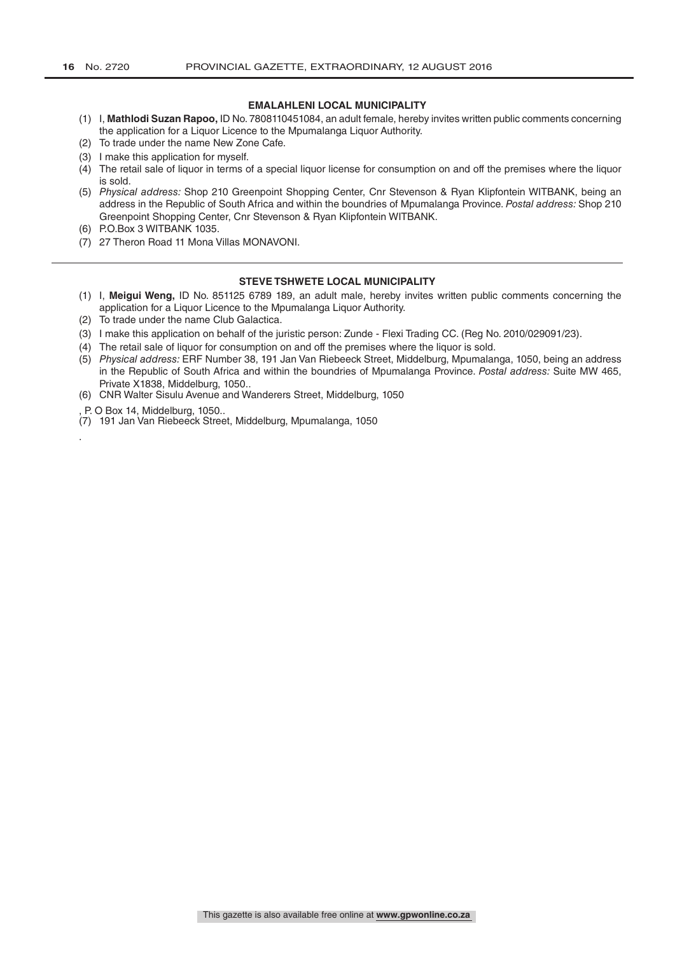#### **EMALAHLENI LOCAL MUNICIPALITY**

- (1) I, **Mathlodi Suzan Rapoo,** ID No. 7808110451084, an adult female, hereby invites written public comments concerning the application for a Liquor Licence to the Mpumalanga Liquor Authority.
- (2) To trade under the name New Zone Cafe.
- (3) I make this application for myself.
- (4) The retail sale of liquor in terms of a special liquor license for consumption on and off the premises where the liquor is sold.
- (5) *Physical address:* Shop 210 Greenpoint Shopping Center, Cnr Stevenson & Ryan Klipfontein WITBANK, being an address in the Republic of South Africa and within the boundries of Mpumalanga Province. *Postal address:* Shop 210 Greenpoint Shopping Center, Cnr Stevenson & Ryan Klipfontein WITBANK.
- (6) P.O.Box 3 WITBANK 1035.
- (7) 27 Theron Road 11 Mona Villas MONAVONI.

#### **STEVE TSHWETE LOCAL MUNICIPALITY**

- (1) I, **Meigui Weng,** ID No. 851125 6789 189, an adult male, hereby invites written public comments concerning the application for a Liquor Licence to the Mpumalanga Liquor Authority.
- (2) To trade under the name Club Galactica.
- (3) I make this application on behalf of the juristic person: Zunde Flexi Trading CC. (Reg No. 2010/029091/23).
- (4) The retail sale of liquor for consumption on and off the premises where the liquor is sold.
- (5) *Physical address:* ERF Number 38, 191 Jan Van Riebeeck Street, Middelburg, Mpumalanga, 1050, being an address in the Republic of South Africa and within the boundries of Mpumalanga Province. *Postal address:* Suite MW 465, Private X1838, Middelburg, 1050..
- (6) CNR Walter Sisulu Avenue and Wanderers Street, Middelburg, 1050
- , P. O Box 14, Middelburg, 1050..

.

(7) 191 Jan Van Riebeeck Street, Middelburg, Mpumalanga, 1050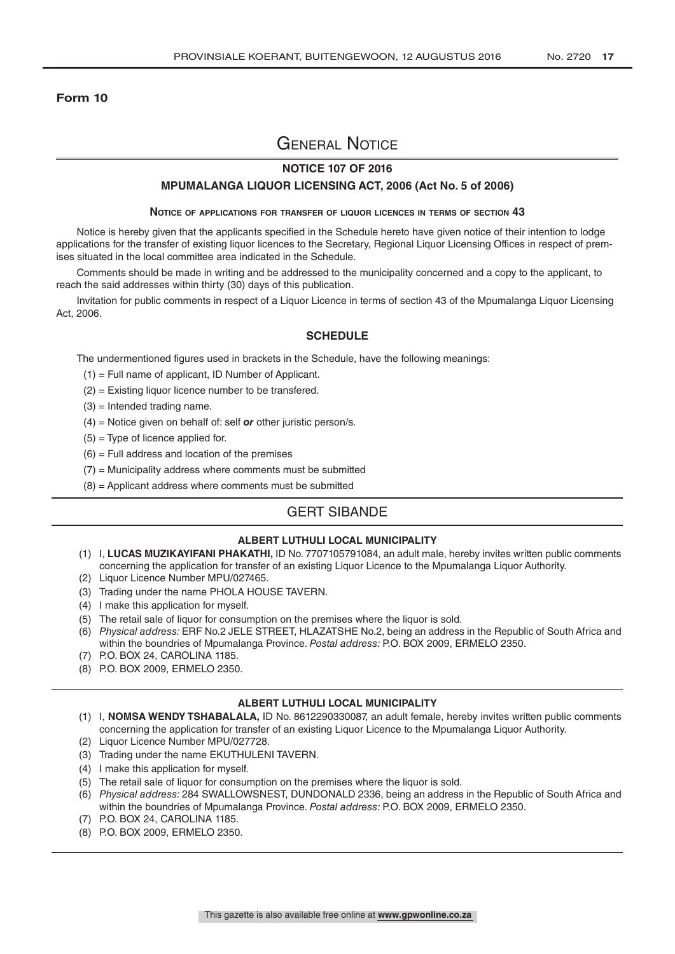### **Form 10**

# General Notice

## **NOTICE 107 OF 2016**

#### **MPUMALANGA LIQUOR LICENSING ACT, 2006 (Act No. 5 of 2006)**

#### **Notice of applications for transfer of liquor licences in terms of section 43**

Notice is hereby given that the applicants specified in the Schedule hereto have given notice of their intention to lodge applications for the transfer of existing liquor licences to the Secretary, Regional Liquor Licensing Offices in respect of premises situated in the local committee area indicated in the Schedule.

Comments should be made in writing and be addressed to the municipality concerned and a copy to the applicant, to reach the said addresses within thirty (30) days of this publication.

Invitation for public comments in respect of a Liquor Licence in terms of section 43 of the Mpumalanga Liquor Licensing Act, 2006.

#### **SCHEDULE**

The undermentioned figures used in brackets in the Schedule, have the following meanings:

- (1) = Full name of applicant, ID Number of Applicant.
- (2) = Existing liquor licence number to be transfered.
- $(3)$  = Intended trading name.
- (4) = Notice given on behalf of: self *or* other juristic person/s.
- $(5)$  = Type of licence applied for.
- $(6)$  = Full address and location of the premises
- $(7)$  = Municipality address where comments must be submitted
- $(8)$  = Applicant address where comments must be submitted

# GERT SIBANDE

#### **ALBERT LUTHULI LOCAL MUNICIPALITY**

- (1) I, **LUCAS MUZIKAYIFANI PHAKATHI,** ID No. 7707105791084, an adult male, hereby invites written public comments concerning the application for transfer of an existing Liquor Licence to the Mpumalanga Liquor Authority.
- (2) Liquor Licence Number MPU/027465.
- (3) Trading under the name PHOLA HOUSE TAVERN.
- (4) I make this application for myself.
- (5) The retail sale of liquor for consumption on the premises where the liquor is sold.
- (6) *Physical address:* ERF No.2 JELE STREET, HLAZATSHE No.2, being an address in the Republic of South Africa and within the boundries of Mpumalanga Province. *Postal address:* P.O. BOX 2009, ERMELO 2350.
- (7) P.O. BOX 24, CAROLINA 1185.
- (8) P.O. BOX 2009, ERMELO 2350.

#### **ALBERT LUTHULI LOCAL MUNICIPALITY**

- (1) I, **NOMSA WENDY TSHABALALA,** ID No. 8612290330087, an adult female, hereby invites written public comments concerning the application for transfer of an existing Liquor Licence to the Mpumalanga Liquor Authority.
- (2) Liquor Licence Number MPU/027728.
- (3) Trading under the name EKUTHULENI TAVERN.
- (4) I make this application for myself.
- (5) The retail sale of liquor for consumption on the premises where the liquor is sold.
- (6) *Physical address:* 284 SWALLOWSNEST, DUNDONALD 2336, being an address in the Republic of South Africa and within the boundries of Mpumalanga Province. *Postal address:* P.O. BOX 2009, ERMELO 2350.
- (7) P.O. BOX 24, CAROLINA 1185.
- (8) P.O. BOX 2009, ERMELO 2350.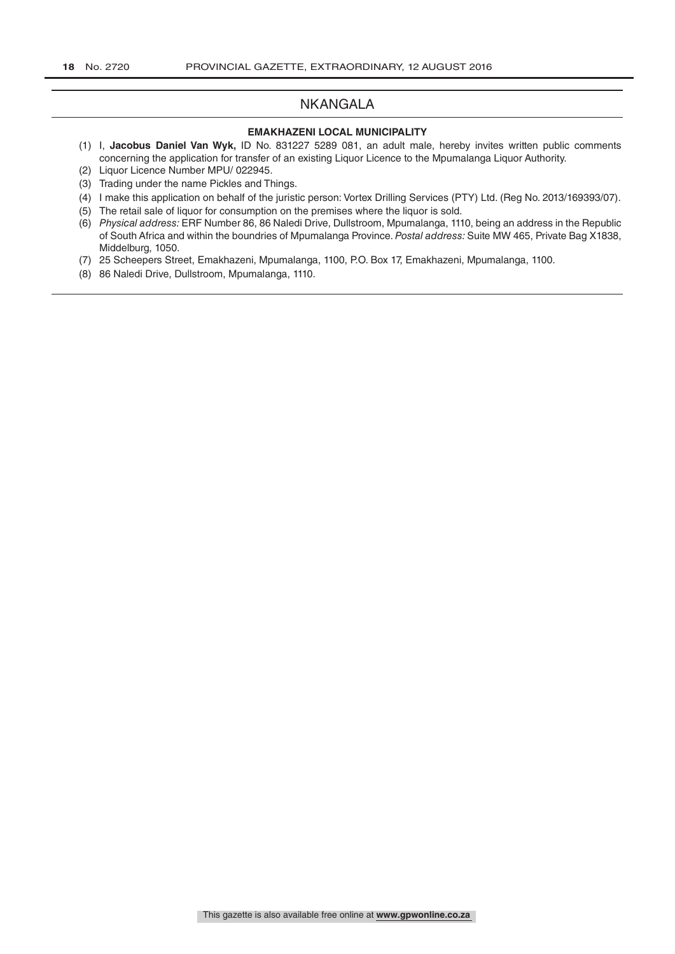# NKANGALA

#### **EMAKHAZENI LOCAL MUNICIPALITY**

- (1) I, **Jacobus Daniel Van Wyk,** ID No. 831227 5289 081, an adult male, hereby invites written public comments concerning the application for transfer of an existing Liquor Licence to the Mpumalanga Liquor Authority.
- (2) Liquor Licence Number MPU/ 022945.
- (3) Trading under the name Pickles and Things.
- (4) I make this application on behalf of the juristic person: Vortex Drilling Services (PTY) Ltd. (Reg No. 2013/169393/07).
- (5) The retail sale of liquor for consumption on the premises where the liquor is sold.
- (6) *Physical address:* ERF Number 86, 86 Naledi Drive, Dullstroom, Mpumalanga, 1110, being an address in the Republic of South Africa and within the boundries of Mpumalanga Province. *Postal address:* Suite MW 465, Private Bag X1838, Middelburg, 1050.
- (7) 25 Scheepers Street, Emakhazeni, Mpumalanga, 1100, P.O. Box 17, Emakhazeni, Mpumalanga, 1100.
- (8) 86 Naledi Drive, Dullstroom, Mpumalanga, 1110.